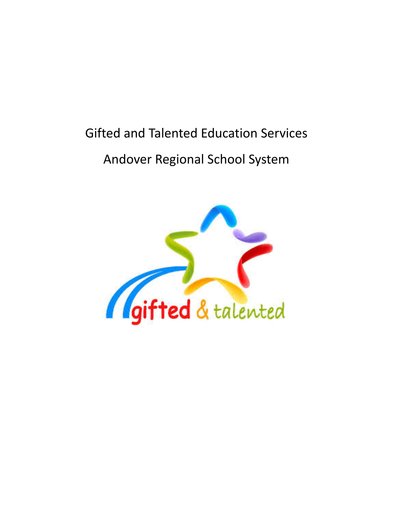# Gifted and Talented Education Services

# Andover Regional School System

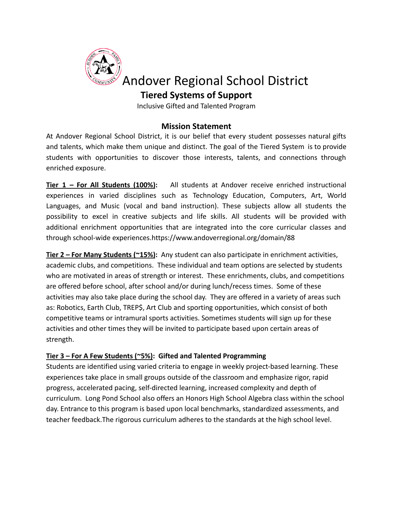

# **Tiered Systems of Support**

Inclusive Gifted and Talented Program

# **Mission Statement**

At Andover Regional School District, it is our belief that every student possesses natural gifts and talents, which make them unique and distinct. The goal of the Tiered System is to provide students with opportunities to discover those interests, talents, and connections through enriched exposure.

**Tier 1 – For All Students (100%):** All students at Andover receive enriched instructional experiences in varied disciplines such as Technology Education, Computers, Art, World Languages, and Music (vocal and band instruction). These subjects allow all students the possibility to excel in creative subjects and life skills. All students will be provided with additional enrichment opportunities that are integrated into the core curricular classes and through school-wide experiences.https://www.andoverregional.org/domain/88

**Tier 2 – For Many Students (~15%):** Any student can also participate in enrichment activities, academic clubs, and competitions. These individual and team options are selected by students who are motivated in areas of strength or interest. These enrichments, clubs, and competitions are offered before school, after school and/or during lunch/recess times. Some of these activities may also take place during the school day. They are offered in a variety of areas such as: Robotics, Earth Club, TREP\$, Art Club and sporting opportunities, which consist of both competitive teams or intramural sports activities. Sometimes students will sign up for these activities and other times they will be invited to participate based upon certain areas of strength.

# **Tier 3 – For A Few Students (~5%): Gifted and Talented Programming**

Students are identified using varied criteria to engage in weekly project-based learning. These experiences take place in small groups outside of the classroom and emphasize rigor, rapid progress, accelerated pacing, self-directed learning, increased complexity and depth of curriculum. Long Pond School also offers an Honors High School Algebra class within the school day. Entrance to this program is based upon local benchmarks, standardized assessments, and teacher feedback.The rigorous curriculum adheres to the standards at the high school level.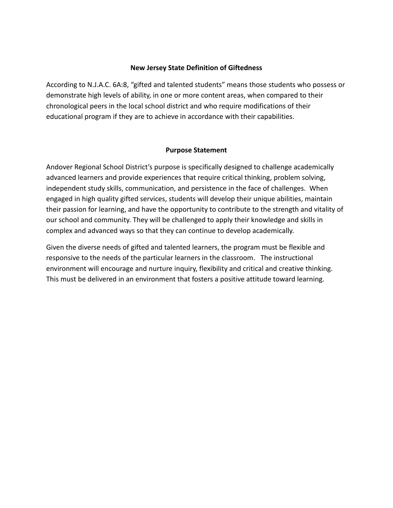#### **New Jersey State Definition of Giftedness**

According to N.J.A.C. 6A:8, "gifted and talented students" means those students who possess or demonstrate high levels of ability, in one or more content areas, when compared to their chronological peers in the local school district and who require modifications of their educational program if they are to achieve in accordance with their capabilities.

#### **Purpose Statement**

Andover Regional School District's purpose is specifically designed to challenge academically advanced learners and provide experiences that require critical thinking, problem solving, independent study skills, communication, and persistence in the face of challenges. When engaged in high quality gifted services, students will develop their unique abilities, maintain their passion for learning, and have the opportunity to contribute to the strength and vitality of our school and community. They will be challenged to apply their knowledge and skills in complex and advanced ways so that they can continue to develop academically.

Given the diverse needs of gifted and talented learners, the program must be flexible and responsive to the needs of the particular learners in the classroom. The instructional environment will encourage and nurture inquiry, flexibility and critical and creative thinking. This must be delivered in an environment that fosters a positive attitude toward learning.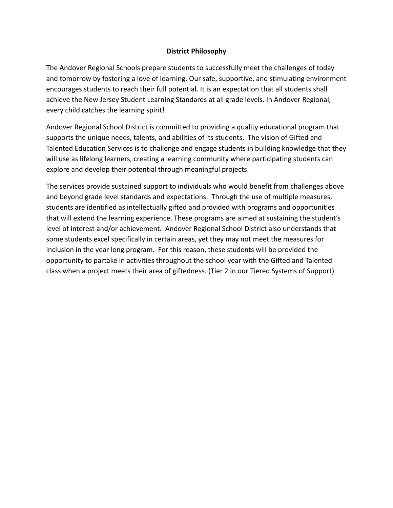# **District Philosophy**

The Andover Regional Schools prepare students to successfully meet the challenges of today and tomorrow by fostering a love of learning. Our safe, supportive, and stimulating environment encourages students to reach their full potential. It is an expectation that all students shall achieve the New Jersey Student Learning Standards at all grade levels. In Andover Regional, every child catches the learning spirit!

Andover Regional School District is committed to providing a quality educational program that supports the unique needs, talents, and abilities of its students. The vision of Gifted and Talented Education Services is to challenge and engage students in building knowledge that they will use as lifelong learners, creating a learning community where participating students can explore and develop their potential through meaningful projects.

The services provide sustained support to individuals who would benefit from challenges above and beyond grade level standards and expectations. Through the use of multiple measures, students are identified as intellectually gifted and provided with programs and opportunities that will extend the learning experience. These programs are aimed at sustaining the student's level of interest and/or achievement. Andover Regional School District also understands that some students excel specifically in certain areas, yet they may not meet the measures for inclusion in the year long program. For this reason, these students will be provided the opportunity to partake in activities throughout the school year with the Gifted and Talented class when a project meets their area of giftedness. (Tier 2 in our Tiered Systems of Support)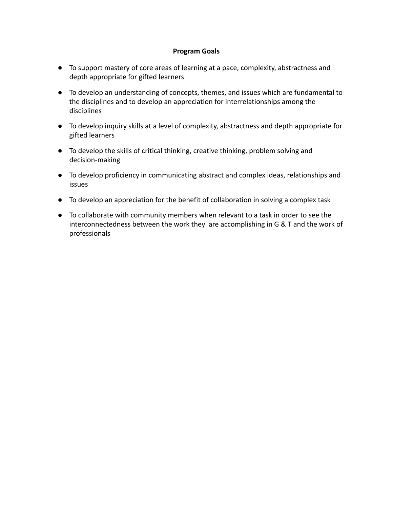# **Program Goals**

- To support mastery of core areas of learning at a pace, complexity, abstractness and depth appropriate for gifted learners
- To develop an understanding of concepts, themes, and issues which are fundamental to the disciplines and to develop an appreciation for interrelationships among the disciplines
- To develop inquiry skills at a level of complexity, abstractness and depth appropriate for gifted learners
- To develop the skills of critical thinking, creative thinking, problem solving and decision-making
- To develop proficiency in communicating abstract and complex ideas, relationships and issues
- To develop an appreciation for the benefit of collaboration in solving a complex task
- To collaborate with community members when relevant to a task in order to see the interconnectedness between the work they are accomplishing in G & T and the work of professionals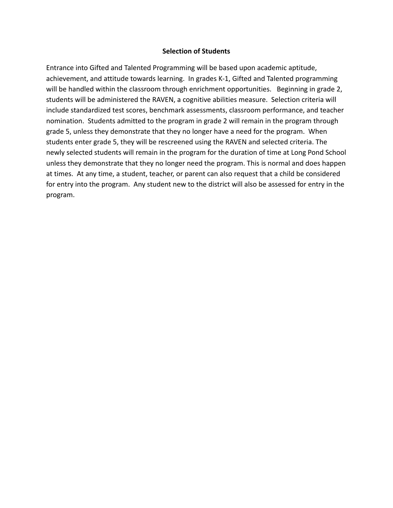#### **Selection of Students**

Entrance into Gifted and Talented Programming will be based upon academic aptitude, achievement, and attitude towards learning. In grades K-1, Gifted and Talented programming will be handled within the classroom through enrichment opportunities. Beginning in grade 2, students will be administered the RAVEN, a cognitive abilities measure. Selection criteria will include standardized test scores, benchmark assessments, classroom performance, and teacher nomination. Students admitted to the program in grade 2 will remain in the program through grade 5, unless they demonstrate that they no longer have a need for the program. When students enter grade 5, they will be rescreened using the RAVEN and selected criteria. The newly selected students will remain in the program for the duration of time at Long Pond School unless they demonstrate that they no longer need the program. This is normal and does happen at times. At any time, a student, teacher, or parent can also request that a child be considered for entry into the program. Any student new to the district will also be assessed for entry in the program.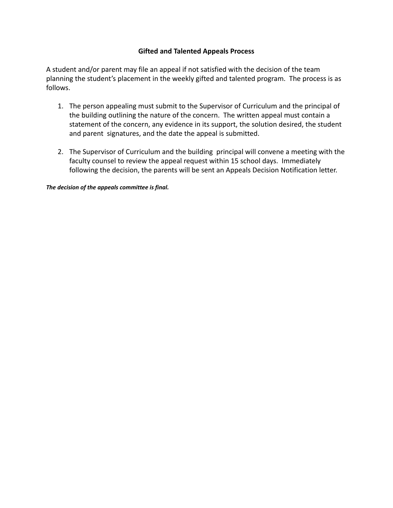# **Gifted and Talented Appeals Process**

A student and/or parent may file an appeal if not satisfied with the decision of the team planning the student's placement in the weekly gifted and talented program. The process is as follows.

- 1. The person appealing must submit to the Supervisor of Curriculum and the principal of the building outlining the nature of the concern. The written appeal must contain a statement of the concern, any evidence in its support, the solution desired, the student and parent signatures, and the date the appeal is submitted.
- 2. The Supervisor of Curriculum and the building principal will convene a meeting with the faculty counsel to review the appeal request within 15 school days. Immediately following the decision, the parents will be sent an Appeals Decision Notification letter.

*The decision of the appeals committee is final.*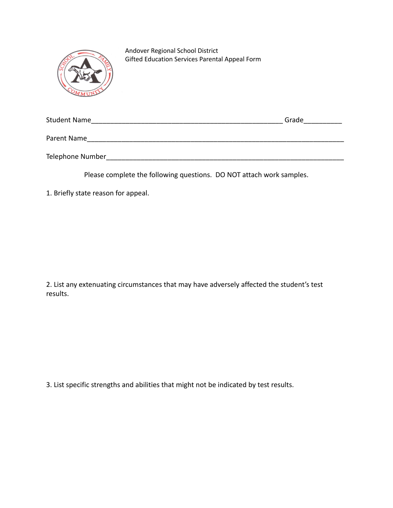

Andover Regional School District Gifted Education Services Parental Appeal Form

| <b>Student Name</b> | Grade |
|---------------------|-------|
| Parent Name         |       |
| Telephone Number    |       |

Please complete the following questions. DO NOT attach work samples.

1. Briefly state reason for appeal.

2. List any extenuating circumstances that may have adversely affected the student's test results.

3. List specific strengths and abilities that might not be indicated by test results.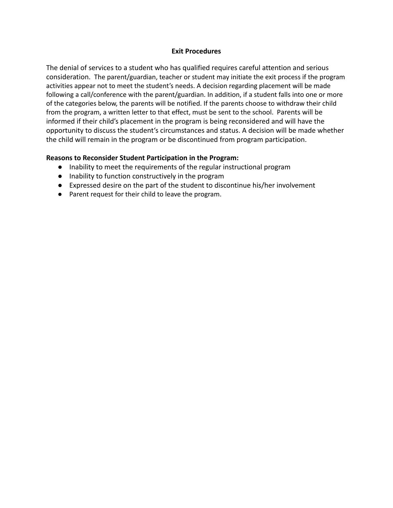#### **Exit Procedures**

The denial of services to a student who has qualified requires careful attention and serious consideration. The parent/guardian, teacher or student may initiate the exit process if the program activities appear not to meet the student's needs. A decision regarding placement will be made following a call/conference with the parent/guardian. In addition, if a student falls into one or more of the categories below, the parents will be notified. If the parents choose to withdraw their child from the program, a written letter to that effect, must be sent to the school. Parents will be informed if their child's placement in the program is being reconsidered and will have the opportunity to discuss the student's circumstances and status. A decision will be made whether the child will remain in the program or be discontinued from program participation.

# **Reasons to Reconsider Student Participation in the Program:**

- Inability to meet the requirements of the regular instructional program
- Inability to function constructively in the program
- Expressed desire on the part of the student to discontinue his/her involvement
- Parent request for their child to leave the program.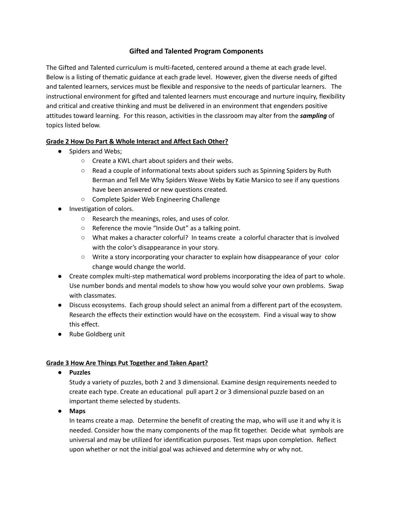# **Gifted and Talented Program Components**

The Gifted and Talented curriculum is multi-faceted, centered around a theme at each grade level. Below is a listing of thematic guidance at each grade level. However, given the diverse needs of gifted and talented learners, services must be flexible and responsive to the needs of particular learners. The instructional environment for gifted and talented learners must encourage and nurture inquiry, flexibility and critical and creative thinking and must be delivered in an environment that engenders positive attitudes toward learning. For this reason, activities in the classroom may alter from the *sampling* of topics listed below.

# **Grade 2 How Do Part & Whole Interact and Affect Each Other?**

- Spiders and Webs;
	- Create a KWL chart about spiders and their webs.
	- Read a couple of informational texts about spiders such as Spinning Spiders by Ruth Berman and Tell Me Why Spiders Weave Webs by Katie Marsico to see if any questions have been answered or new questions created.
	- Complete Spider Web Engineering Challenge
- Investigation of colors.
	- Research the meanings, roles, and uses of color.
	- $\circ$  Reference the movie "Inside Out" as a talking point.
	- What makes a character colorful? In teams create a colorful character that is involved with the color's disappearance in your story.
	- Write a story incorporating your character to explain how disappearance of your color change would change the world.
- Create complex multi-step mathematical word problems incorporating the idea of part to whole. Use number bonds and mental models to show how you would solve your own problems. Swap with classmates.
- Discuss ecosystems. Each group should select an animal from a different part of the ecosystem. Research the effects their extinction would have on the ecosystem. Find a visual way to show this effect.
- Rube Goldberg unit

# **Grade 3 How Are Things Put Together and Taken Apart?**

**● Puzzles**

Study a variety of puzzles, both 2 and 3 dimensional. Examine design requirements needed to create each type. Create an educational pull apart 2 or 3 dimensional puzzle based on an important theme selected by students.

**● Maps**

In teams create a map. Determine the benefit of creating the map, who will use it and why it is needed. Consider how the many components of the map fit together. Decide what symbols are universal and may be utilized for identification purposes. Test maps upon completion. Reflect upon whether or not the initial goal was achieved and determine why or why not.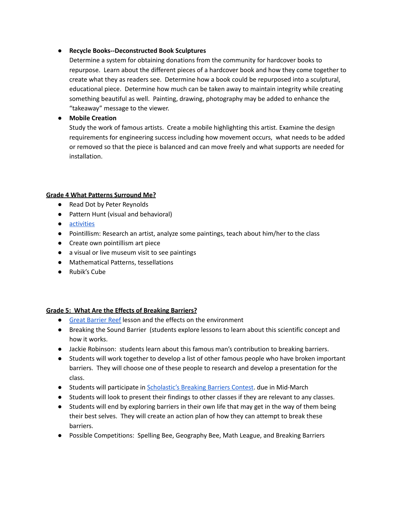#### **● Recycle Books--Deconstructed Book Sculptures**

Determine a system for obtaining donations from the community for hardcover books to repurpose. Learn about the different pieces of a hardcover book and how they come together to create what they as readers see. Determine how a book could be repurposed into a sculptural, educational piece. Determine how much can be taken away to maintain integrity while creating something beautiful as well. Painting, drawing, photography may be added to enhance the "takeaway" message to the viewer.

# **● Mobile Creation**

Study the work of famous artists. Create a mobile highlighting this artist. Examine the design requirements for engineering success including how movement occurs, what needs to be added or removed so that the piece is balanced and can move freely and what supports are needed for installation.

# **Grade 4 What Patterns Surround Me?**

- Read Dot by Peter Reynolds
- Pattern Hunt (visual and behavioral)
- [activities](https://www.weareteachers.com/10-geometric-art-explorations/)
- Pointillism: Research an artist, analyze some paintings, teach about him/her to the class
- Create own pointillism art piece
- a visual or live museum visit to see paintings
- Mathematical Patterns, tessellations
- Rubik's Cube

# **Grade 5: What Are the Effects of Breaking Barriers?**

- **•** Great [Barrier](https://carissawyatt.files.wordpress.com/2011/09/lesson-plan-1-take-25.pdf) Reef lesson and the effects on the environment
- Breaking the Sound Barrier (students explore lessons to learn about this scientific concept and how it works.
- Jackie Robinson: students learn about this famous man's contribution to breaking barriers.
- Students will work together to develop a list of other famous people who have broken important barriers. They will choose one of these people to research and develop a presentation for the class.
- Students will participate in [Scholastic's](http://www.scholastic.com/breakingbarriers/teacher/index.htm) Breaking Barriers Contest. due in Mid-March
- Students will look to present their findings to other classes if they are relevant to any classes.
- Students will end by exploring barriers in their own life that may get in the way of them being their best selves. They will create an action plan of how they can attempt to break these barriers.
- Possible Competitions: Spelling Bee, Geography Bee, Math League, and Breaking Barriers